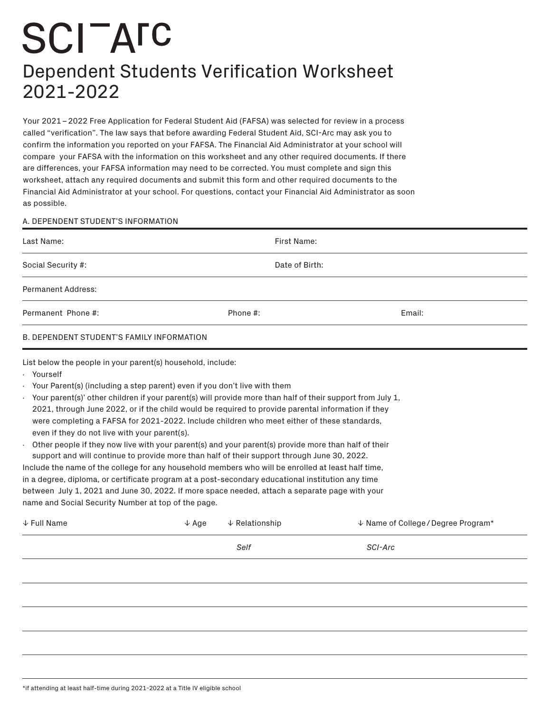## **SCITATC** Dependent Students Verification Worksheet 2021-2022

Your 2021 – 2022 Free Application for Federal Student Aid (FAFSA) was selected for review in a process called "verification". The law says that before awarding Federal Student Aid, SCI-Arc may ask you to confirm the information you reported on your FAFSA. The Financial Aid Administrator at your school will compare your FAFSA with the information on this worksheet and any other required documents. If there are differences, your FAFSA information may need to be corrected. You must complete and sign this worksheet, attach any required documents and submit this form and other required documents to the Financial Aid Administrator at your school. For questions, contact your Financial Aid Administrator as soon as possible.

## A. DEPENDENT STUDENT'S INFORMATION

| First Name:<br>Date of Birth:<br>Phone #:<br>Email:<br><b>B. DEPENDENT STUDENT'S FAMILY INFORMATION</b><br>List below the people in your parent(s) household, include:<br>Your Parent(s) (including a step parent) even if you don't live with them<br>Your parent(s)' other children if your parent(s) will provide more than half of their support from July 1,<br>2021, through June 2022, or if the child would be required to provide parental information if they<br>were completing a FAFSA for 2021-2022. Include children who meet either of these standards,<br>even if they do not live with your parent(s).<br>Other people if they now live with your parent(s) and your parent(s) provide more than half of their<br>support and will continue to provide more than half of their support through June 30, 2022.<br>Include the name of the college for any household members who will be enrolled at least half time,<br>in a degree, diploma, or certificate program at a post-secondary educational institution any time<br>between July 1, 2021 and June 30, 2022. If more space needed, attach a separate page with your<br>name and Social Security Number at top of the page.<br>$\downarrow$ Relationship<br>$\downarrow$ Name of College / Degree Program*<br>$\downarrow$ Age<br>Self<br>SCI-Arc |                              |  |  |  |
|--------------------------------------------------------------------------------------------------------------------------------------------------------------------------------------------------------------------------------------------------------------------------------------------------------------------------------------------------------------------------------------------------------------------------------------------------------------------------------------------------------------------------------------------------------------------------------------------------------------------------------------------------------------------------------------------------------------------------------------------------------------------------------------------------------------------------------------------------------------------------------------------------------------------------------------------------------------------------------------------------------------------------------------------------------------------------------------------------------------------------------------------------------------------------------------------------------------------------------------------------------------------------------------------------------------------------|------------------------------|--|--|--|
|                                                                                                                                                                                                                                                                                                                                                                                                                                                                                                                                                                                                                                                                                                                                                                                                                                                                                                                                                                                                                                                                                                                                                                                                                                                                                                                          | Last Name:                   |  |  |  |
|                                                                                                                                                                                                                                                                                                                                                                                                                                                                                                                                                                                                                                                                                                                                                                                                                                                                                                                                                                                                                                                                                                                                                                                                                                                                                                                          | Social Security #:           |  |  |  |
|                                                                                                                                                                                                                                                                                                                                                                                                                                                                                                                                                                                                                                                                                                                                                                                                                                                                                                                                                                                                                                                                                                                                                                                                                                                                                                                          | <b>Permanent Address:</b>    |  |  |  |
|                                                                                                                                                                                                                                                                                                                                                                                                                                                                                                                                                                                                                                                                                                                                                                                                                                                                                                                                                                                                                                                                                                                                                                                                                                                                                                                          | Permanent Phone #:           |  |  |  |
|                                                                                                                                                                                                                                                                                                                                                                                                                                                                                                                                                                                                                                                                                                                                                                                                                                                                                                                                                                                                                                                                                                                                                                                                                                                                                                                          |                              |  |  |  |
|                                                                                                                                                                                                                                                                                                                                                                                                                                                                                                                                                                                                                                                                                                                                                                                                                                                                                                                                                                                                                                                                                                                                                                                                                                                                                                                          | · Yourself<br>$\blacksquare$ |  |  |  |
|                                                                                                                                                                                                                                                                                                                                                                                                                                                                                                                                                                                                                                                                                                                                                                                                                                                                                                                                                                                                                                                                                                                                                                                                                                                                                                                          | $\downarrow$ Full Name       |  |  |  |
|                                                                                                                                                                                                                                                                                                                                                                                                                                                                                                                                                                                                                                                                                                                                                                                                                                                                                                                                                                                                                                                                                                                                                                                                                                                                                                                          |                              |  |  |  |
|                                                                                                                                                                                                                                                                                                                                                                                                                                                                                                                                                                                                                                                                                                                                                                                                                                                                                                                                                                                                                                                                                                                                                                                                                                                                                                                          |                              |  |  |  |
|                                                                                                                                                                                                                                                                                                                                                                                                                                                                                                                                                                                                                                                                                                                                                                                                                                                                                                                                                                                                                                                                                                                                                                                                                                                                                                                          |                              |  |  |  |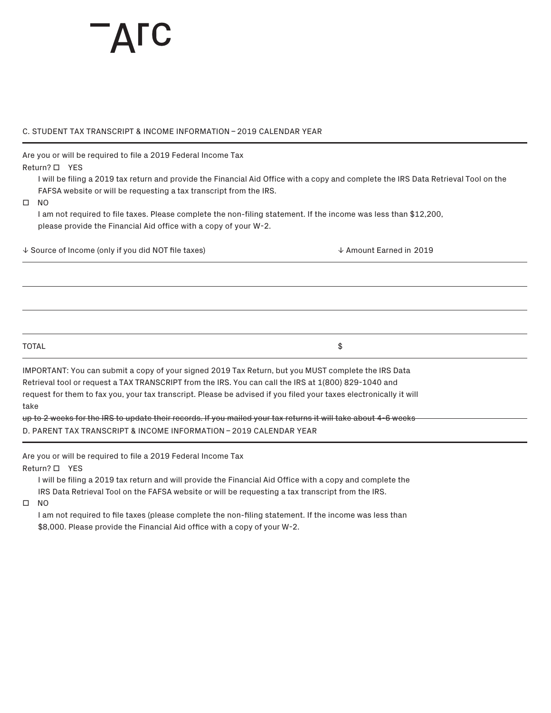## C. STUDENT TAX TRANSCRIPT & INCOME INFORMATION – 2019 CALENDAR YEAR

Are you or will be required to file a 2019 Federal Income Tax

Return? **D** YES

I will be filing a 2019 tax return and provide the Financial Aid Office with a copy and complete the IRS Data Retrieval Tool on the FAFSA website or will be requesting a tax transcript from the IRS.

 $\square$  NO

I am not required to file taxes. Please complete the non-filing statement. If the income was less than \$12,200, please provide the Financial Aid office with a copy of your W-2.

� Source of Income (only if you did NOT file taxes) � Amount Earned in 2019

 $\texttt{TOTAL} \hspace{2.5cm} \texttt{\$}$ 

IMPORTANT: You can submit a copy of your signed 2019 Tax Return, but you MUST complete the IRS Data Retrieval tool or request a TAX TRANSCRIPT from the IRS. You can call the IRS at 1(800) 829-1040 and request for them to fax you, your tax transcript. Please be advised if you filed your taxes electronically it will take

up to 2 weeks for the IRS to update their records. If you mailed your tax returns it will take about 4-6 weeks D. PARENT TAX TRANSCRIPT & INCOME INFORMATION – 2019 CALENDAR YEAR

Are you or will be required to file a 2019 Federal Income Tax

Return?  $\Box$  YES

I will be filing a 2019 tax return and will provide the Financial Aid Office with a copy and complete the IRS Data Retrieval Tool on the FAFSA website or will be requesting a tax transcript from the IRS.

 $\square$  NO

I am not required to file taxes (please complete the non-filing statement. If the income was less than \$8,000. Please provide the Financial Aid office with a copy of your W-2.